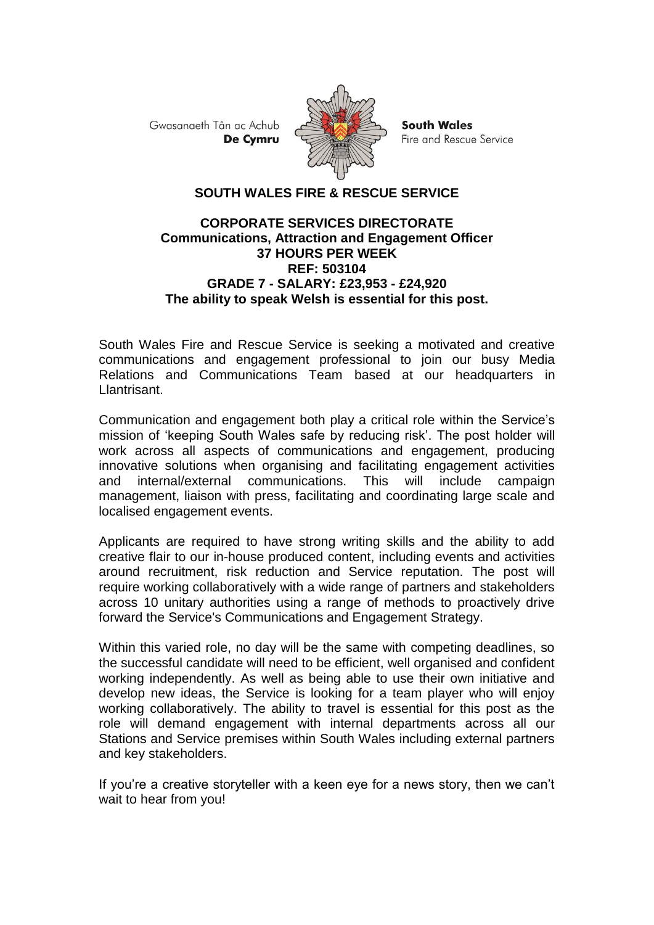Gwasanaeth Tân ac Achub De Cymru



**South Wales** Fire and Rescue Service

## **SOUTH WALES FIRE & RESCUE SERVICE**

## **CORPORATE SERVICES DIRECTORATE Communications, Attraction and Engagement Officer 37 HOURS PER WEEK REF: 503104 GRADE 7 - SALARY: £23,953 - £24,920 The ability to speak Welsh is essential for this post.**

South Wales Fire and Rescue Service is seeking a motivated and creative communications and engagement professional to join our busy Media Relations and Communications Team based at our headquarters in Llantrisant.

Communication and engagement both play a critical role within the Service's mission of 'keeping South Wales safe by reducing risk'. The post holder will work across all aspects of communications and engagement, producing innovative solutions when organising and facilitating engagement activities and internal/external communications. This will include campaign management, liaison with press, facilitating and coordinating large scale and localised engagement events.

Applicants are required to have strong writing skills and the ability to add creative flair to our in-house produced content, including events and activities around recruitment, risk reduction and Service reputation. The post will require working collaboratively with a wide range of partners and stakeholders across 10 unitary authorities using a range of methods to proactively drive forward the Service's Communications and Engagement Strategy.

Within this varied role, no day will be the same with competing deadlines, so the successful candidate will need to be efficient, well organised and confident working independently. As well as being able to use their own initiative and develop new ideas, the Service is looking for a team player who will enjoy working collaboratively. The ability to travel is essential for this post as the role will demand engagement with internal departments across all our Stations and Service premises within South Wales including external partners and key stakeholders.

If you're a creative storyteller with a keen eye for a news story, then we can't wait to hear from you!